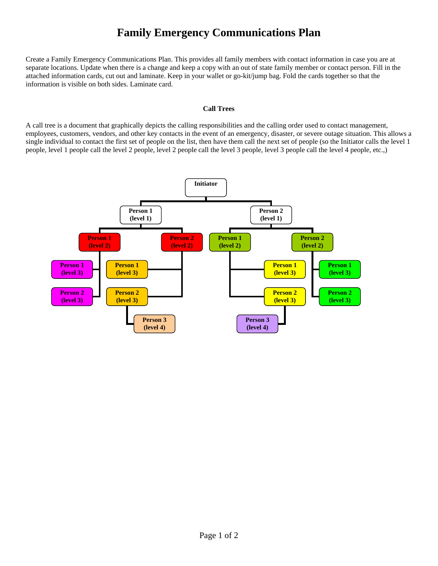## **Family Emergency Communications Plan**

Create a Family Emergency Communications Plan. This provides all family members with contact information in case you are at separate locations. Update when there is a change and keep a copy with an out of state family member or contact person. Fill in the attached information cards, cut out and laminate. Keep in your wallet or go-kit/jump bag. Fold the cards together so that the information is visible on both sides. Laminate card.

## **Call Trees**

A call tree is a document that graphically depicts the calling responsibilities and the calling order used to contact management, employees, customers, vendors, and other key contacts in the event of an emergency, disaster, or severe outage situation. This allows a single individual to contact the first set of people on the list, then have them call the next set of people (so the Initiator calls the level 1 people, level 1 people call the level 2 people, level 2 people call the level 3 people, level 3 people call the level 4 people, etc.,)